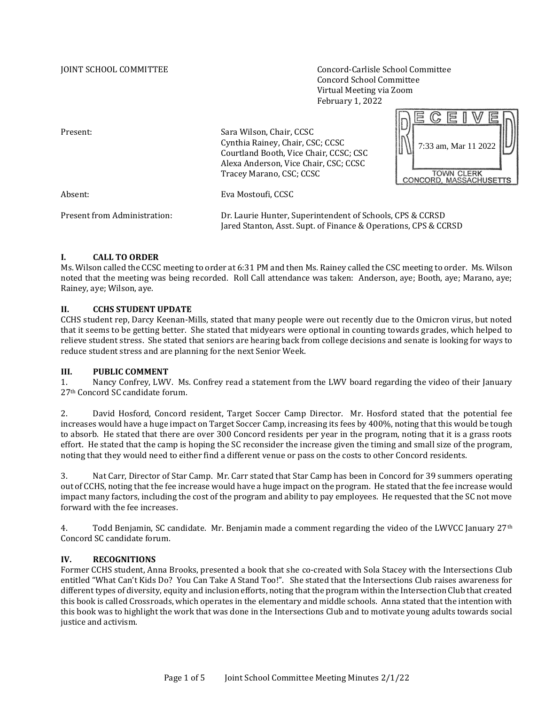JOINT SCHOOL COMMITTEE Concord-Carlisle School Committee Concord School Committee Virtual Meeting via Zoom February 1, 2022

 $DERCHWE$ 

| Present:                     | Sara Wilson, Chair, CCSC<br>Cynthia Rainey, Chair, CSC; CCSC<br>Courtland Booth, Vice Chair, CCSC; CSC<br>Alexa Anderson, Vice Chair, CSC; CCSC<br>Tracey Marano, CSC; CCSC | 7:33 am, Mar 11 2022<br><b>TOWN CLERK</b><br>CONCORD, MASSACHUSETTS |
|------------------------------|-----------------------------------------------------------------------------------------------------------------------------------------------------------------------------|---------------------------------------------------------------------|
| Absent:                      | Eva Mostoufi, CCSC                                                                                                                                                          |                                                                     |
| Present from Administration: | Dr. Laurie Hunter, Superintendent of Schools, CPS & CCRSD<br>Jared Stanton, Asst. Supt. of Finance & Operations, CPS & CCRSD                                                |                                                                     |

## **I. CALL TO ORDER**

Ms. Wilson called the CCSC meeting to order at 6:31 PM and then Ms. Rainey called the CSC meeting to order. Ms. Wilson noted that the meeting was being recorded. Roll Call attendance was taken: Anderson, aye; Booth, aye; Marano, aye; Rainey, aye; Wilson, aye.

#### **II. CCHS STUDENT UPDATE**

CCHS student rep, Darcy Keenan-Mills, stated that many people were out recently due to the Omicron virus, but noted that it seems to be getting better. She stated that midyears were optional in counting towards grades, which helped to relieve student stress. She stated that seniors are hearing back from college decisions and senate is looking for ways to reduce student stress and are planning for the next Senior Week.

#### **III. PUBLIC COMMENT**

1. Nancy Confrey, LWV. Ms. Confrey read a statement from the LWV board regarding the video of their January 27th Concord SC candidate forum.

2. David Hosford, Concord resident, Target Soccer Camp Director. Mr. Hosford stated that the potential fee increases would have a huge impact on Target Soccer Camp, increasing its fees by 400%, noting that this would be tough to absorb. He stated that there are over 300 Concord residents per year in the program, noting that it is a grass roots effort. He stated that the camp is hoping the SC reconsider the increase given the timing and small size of the program, noting that they would need to either find a different venue or pass on the costs to other Concord residents.

3. Nat Carr, Director of Star Camp. Mr. Carr stated that Star Camp has been in Concord for 39 summers operating out of CCHS, noting that the fee increase would have a huge impact on the program. He stated that the fee increase would impact many factors, including the cost of the program and ability to pay employees. He requested that the SC not move forward with the fee increases.

4. Todd Benjamin, SC candidate. Mr. Benjamin made a comment regarding the video of the LWVCC January 27th Concord SC candidate forum.

#### **IV. RECOGNITIONS**

Former CCHS student, Anna Brooks, presented a book that she co-created with Sola Stacey with the Intersections Club entitled "What Can't Kids Do? You Can Take A Stand Too!". She stated that the Intersections Club raises awareness for different types of diversity, equity and inclusion efforts, noting that the program within the Intersection Club that created this book is called Crossroads, which operates in the elementary and middle schools. Anna stated that the intention with this book was to highlight the work that was done in the Intersections Club and to motivate young adults towards social justice and activism.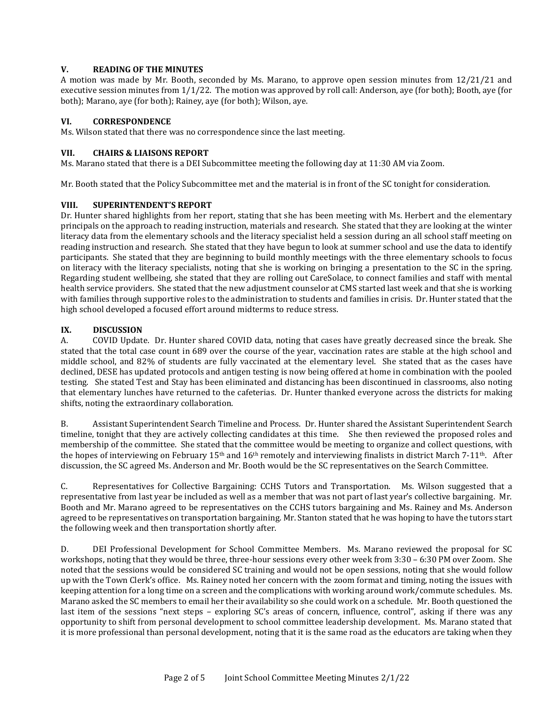## **V. READING OF THE MINUTES**

A motion was made by Mr. Booth, seconded by Ms. Marano, to approve open session minutes from 12/21/21 and executive session minutes from 1/1/22. The motion was approved by roll call: Anderson, aye (for both); Booth, aye (for both); Marano, aye (for both); Rainey, aye (for both); Wilson, aye.

## **VI. CORRESPONDENCE**

Ms. Wilson stated that there was no correspondence since the last meeting.

#### **VII. CHAIRS & LIAISONS REPORT**

Ms. Marano stated that there is a DEI Subcommittee meeting the following day at 11:30 AM via Zoom.

Mr. Booth stated that the Policy Subcommittee met and the material is in front of the SC tonight for consideration.

## **VIII. SUPERINTENDENT'S REPORT**

Dr. Hunter shared highlights from her report, stating that she has been meeting with Ms. Herbert and the elementary principals on the approach to reading instruction, materials and research. She stated that they are looking at the winter literacy data from the elementary schools and the literacy specialist held a session during an all school staff meeting on reading instruction and research. She stated that they have begun to look at summer school and use the data to identify participants. She stated that they are beginning to build monthly meetings with the three elementary schools to focus on literacy with the literacy specialists, noting that she is working on bringing a presentation to the SC in the spring. Regarding student wellbeing, she stated that they are rolling out CareSolace, to connect families and staff with mental health service providers. She stated that the new adjustment counselor at CMS started last week and that she is working with families through supportive roles to the administration to students and families in crisis. Dr. Hunter stated that the high school developed a focused effort around midterms to reduce stress.

## **IX. DISCUSSION**

A. COVID Update. Dr. Hunter shared COVID data, noting that cases have greatly decreased since the break. She stated that the total case count in 689 over the course of the year, vaccination rates are stable at the high school and middle school, and 82% of students are fully vaccinated at the elementary level. She stated that as the cases have declined, DESE has updated protocols and antigen testing is now being offered at home in combination with the pooled testing. She stated Test and Stay has been eliminated and distancing has been discontinued in classrooms, also noting that elementary lunches have returned to the cafeterias. Dr. Hunter thanked everyone across the districts for making shifts, noting the extraordinary collaboration.

B. Assistant Superintendent Search Timeline and Process. Dr. Hunter shared the Assistant Superintendent Search timeline, tonight that they are actively collecting candidates at this time. She then reviewed the proposed roles and membership of the committee. She stated that the committee would be meeting to organize and collect questions, with the hopes of interviewing on February 15<sup>th</sup> and 16<sup>th</sup> remotely and interviewing finalists in district March 7-11<sup>th</sup>. After discussion, the SC agreed Ms. Anderson and Mr. Booth would be the SC representatives on the Search Committee.

C. Representatives for Collective Bargaining: CCHS Tutors and Transportation. Ms. Wilson suggested that a representative from last year be included as well as a member that was not part of last year's collective bargaining. Mr. Booth and Mr. Marano agreed to be representatives on the CCHS tutors bargaining and Ms. Rainey and Ms. Anderson agreed to be representatives on transportation bargaining. Mr. Stanton stated that he was hoping to have the tutors start the following week and then transportation shortly after.

D. DEI Professional Development for School Committee Members. Ms. Marano reviewed the proposal for SC workshops, noting that they would be three, three-hour sessions every other week from 3:30 – 6:30 PM over Zoom. She noted that the sessions would be considered SC training and would not be open sessions, noting that she would follow up with the Town Clerk's office. Ms. Rainey noted her concern with the zoom format and timing, noting the issues with keeping attention for a long time on a screen and the complications with working around work/commute schedules. Ms. Marano asked the SC members to email her their availability so she could work on a schedule. Mr. Booth questioned the last item of the sessions "next steps – exploring SC's areas of concern, influence, control", asking if there was any opportunity to shift from personal development to school committee leadership development. Ms. Marano stated that it is more professional than personal development, noting that it is the same road as the educators are taking when they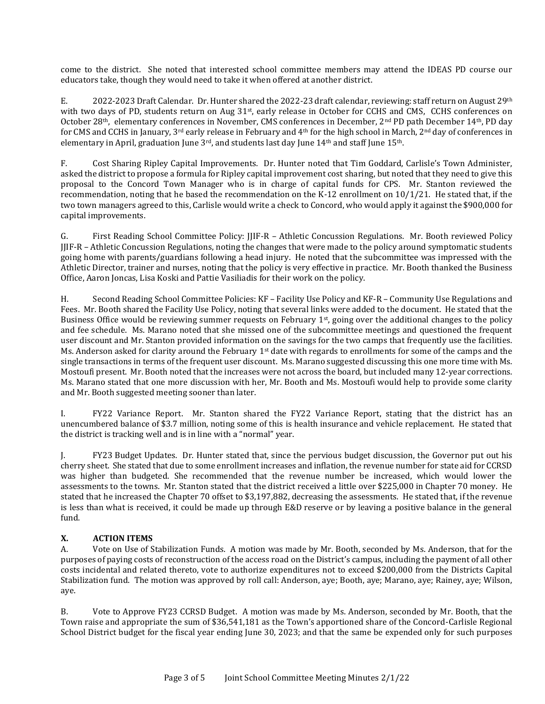come to the district. She noted that interested school committee members may attend the IDEAS PD course our educators take, though they would need to take it when offered at another district.

E. 2022-2023 Draft Calendar. Dr. Hunter shared the 2022-23 draft calendar, reviewing: staff return on August 29<sup>th</sup> with two days of PD, students return on Aug 31<sup>st</sup>, early release in October for CCHS and CMS, CCHS conferences on October 28th, elementary conferences in November, CMS conferences in December, 2nd PD path December 14th, PD day for CMS and CCHS in January, 3rd early release in February and 4th for the high school in March, 2nd day of conferences in elementary in April, graduation June 3<sup>rd</sup>, and students last day June 14<sup>th</sup> and staff June 15<sup>th</sup>.

F. Cost Sharing Ripley Capital Improvements. Dr. Hunter noted that Tim Goddard, Carlisle's Town Administer, asked the district to propose a formula for Ripley capital improvement cost sharing, but noted that they need to give this proposal to the Concord Town Manager who is in charge of capital funds for CPS. Mr. Stanton reviewed the recommendation, noting that he based the recommendation on the K-12 enrollment on 10/1/21. He stated that, if the two town managers agreed to this, Carlisle would write a check to Concord, who would apply it against the \$900,000 for capital improvements.

G. First Reading School Committee Policy: JJIF-R – Athletic Concussion Regulations. Mr. Booth reviewed Policy JJIF-R – Athletic Concussion Regulations, noting the changes that were made to the policy around symptomatic students going home with parents/guardians following a head injury. He noted that the subcommittee was impressed with the Athletic Director, trainer and nurses, noting that the policy is very effective in practice. Mr. Booth thanked the Business Office, Aaron Joncas, Lisa Koski and Pattie Vasiliadis for their work on the policy.

H. Second Reading School Committee Policies: KF – Facility Use Policy and KF-R – Community Use Regulations and Fees. Mr. Booth shared the Facility Use Policy, noting that several links were added to the document. He stated that the Business Office would be reviewing summer requests on February 1<sup>st</sup>, going over the additional changes to the policy and fee schedule. Ms. Marano noted that she missed one of the subcommittee meetings and questioned the frequent user discount and Mr. Stanton provided information on the savings for the two camps that frequently use the facilities. Ms. Anderson asked for clarity around the February 1<sup>st</sup> date with regards to enrollments for some of the camps and the single transactions in terms of the frequent user discount. Ms. Marano suggested discussing this one more time with Ms. Mostoufi present. Mr. Booth noted that the increases were not across the board, but included many 12-year corrections. Ms. Marano stated that one more discussion with her, Mr. Booth and Ms. Mostoufi would help to provide some clarity and Mr. Booth suggested meeting sooner than later.

I. FY22 Variance Report. Mr. Stanton shared the FY22 Variance Report, stating that the district has an unencumbered balance of \$3.7 million, noting some of this is health insurance and vehicle replacement. He stated that the district is tracking well and is in line with a "normal" year.

J. FY23 Budget Updates. Dr. Hunter stated that, since the pervious budget discussion, the Governor put out his cherry sheet. She stated that due to some enrollment increases and inflation, the revenue number for state aid for CCRSD was higher than budgeted. She recommended that the revenue number be increased, which would lower the assessments to the towns. Mr. Stanton stated that the district received a little over \$225,000 in Chapter 70 money. He stated that he increased the Chapter 70 offset to \$3,197,882, decreasing the assessments. He stated that, if the revenue is less than what is received, it could be made up through E&D reserve or by leaving a positive balance in the general fund.

# **X. ACTION ITEMS**

A. Vote on Use of Stabilization Funds. A motion was made by Mr. Booth, seconded by Ms. Anderson, that for the purposes of paying costs of reconstruction of the access road on the District's campus, including the payment of all other costs incidental and related thereto, vote to authorize expenditures not to exceed \$200,000 from the Districts Capital Stabilization fund. The motion was approved by roll call: Anderson, aye; Booth, aye; Marano, aye; Rainey, aye; Wilson, aye.

B. Vote to Approve FY23 CCRSD Budget. A motion was made by Ms. Anderson, seconded by Mr. Booth, that the Town raise and appropriate the sum of \$36,541,181 as the Town's apportioned share of the Concord-Carlisle Regional School District budget for the fiscal year ending June 30, 2023; and that the same be expended only for such purposes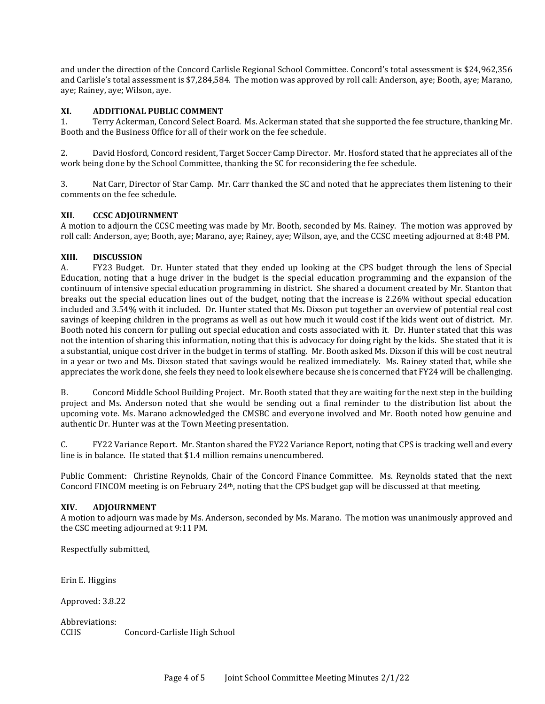and under the direction of the Concord Carlisle Regional School Committee. Concord's total assessment is \$24,962,356 and Carlisle's total assessment is \$7,284,584. The motion was approved by roll call: Anderson, aye; Booth, aye; Marano, aye; Rainey, aye; Wilson, aye.

## **XI. ADDITIONAL PUBLIC COMMENT**

1. Terry Ackerman, Concord Select Board. Ms. Ackerman stated that she supported the fee structure, thanking Mr. Booth and the Business Office for all of their work on the fee schedule.

2. David Hosford, Concord resident, Target Soccer Camp Director. Mr. Hosford stated that he appreciates all of the work being done by the School Committee, thanking the SC for reconsidering the fee schedule.

3. Nat Carr, Director of Star Camp. Mr. Carr thanked the SC and noted that he appreciates them listening to their comments on the fee schedule.

## **XII. CCSC ADJOURNMENT**

A motion to adjourn the CCSC meeting was made by Mr. Booth, seconded by Ms. Rainey. The motion was approved by roll call: Anderson, aye; Booth, aye; Marano, aye; Rainey, aye; Wilson, aye, and the CCSC meeting adjourned at 8:48 PM.

# **XIII. DISCUSSION**

A. FY23 Budget. Dr. Hunter stated that they ended up looking at the CPS budget through the lens of Special Education, noting that a huge driver in the budget is the special education programming and the expansion of the continuum of intensive special education programming in district. She shared a document created by Mr. Stanton that breaks out the special education lines out of the budget, noting that the increase is 2.26% without special education included and 3.54% with it included. Dr. Hunter stated that Ms. Dixson put together an overview of potential real cost savings of keeping children in the programs as well as out how much it would cost if the kids went out of district. Mr. Booth noted his concern for pulling out special education and costs associated with it. Dr. Hunter stated that this was not the intention of sharing this information, noting that this is advocacy for doing right by the kids. She stated that it is a substantial, unique cost driver in the budget in terms of staffing. Mr. Booth asked Ms. Dixson if this will be cost neutral in a year or two and Ms. Dixson stated that savings would be realized immediately. Ms. Rainey stated that, while she appreciates the work done, she feels they need to look elsewhere because she is concerned that FY24 will be challenging.

B. Concord Middle School Building Project. Mr. Booth stated that they are waiting for the next step in the building project and Ms. Anderson noted that she would be sending out a final reminder to the distribution list about the upcoming vote. Ms. Marano acknowledged the CMSBC and everyone involved and Mr. Booth noted how genuine and authentic Dr. Hunter was at the Town Meeting presentation.

C. FY22 Variance Report. Mr. Stanton shared the FY22 Variance Report, noting that CPS is tracking well and every line is in balance. He stated that \$1.4 million remains unencumbered.

Public Comment: Christine Reynolds, Chair of the Concord Finance Committee. Ms. Reynolds stated that the next Concord FINCOM meeting is on February  $24<sup>th</sup>$ , noting that the CPS budget gap will be discussed at that meeting.

#### **XIV. ADJOURNMENT**

A motion to adjourn was made by Ms. Anderson, seconded by Ms. Marano. The motion was unanimously approved and the CSC meeting adjourned at 9:11 PM.

Respectfully submitted,

Erin E. Higgins

Approved: 3.8.22

Abbreviations: CCHS Concord-Carlisle High School